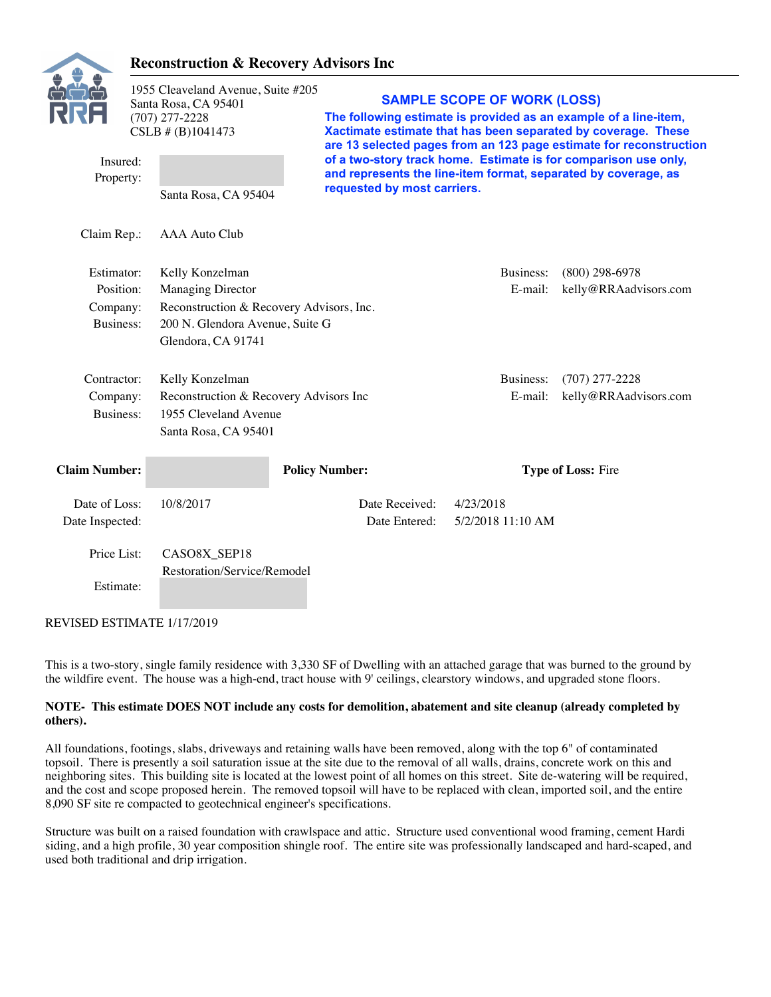

### **Reconstruction & Recovery Advisors Inc**

|                       | 1955 Cleaveland Avenue, Suite #205<br>Santa Rosa, CA 95401<br>$(707)$ 277-2228<br>CSLB $# (B) 1041473$ |                       |                             | <b>SAMPLE SCOPE OF WORK (LOSS)</b> | The following estimate is provided as an example of a line-item,<br>Xactimate estimate that has been separated by coverage. These<br>are 13 selected pages from an 123 page estimate for reconstruction |
|-----------------------|--------------------------------------------------------------------------------------------------------|-----------------------|-----------------------------|------------------------------------|---------------------------------------------------------------------------------------------------------------------------------------------------------------------------------------------------------|
| Insured:<br>Property: |                                                                                                        |                       | requested by most carriers. |                                    | of a two-story track home. Estimate is for comparison use only,<br>and represents the line-item format, separated by coverage, as                                                                       |
|                       | Santa Rosa, CA 95404                                                                                   |                       |                             |                                    |                                                                                                                                                                                                         |
| Claim Rep.:           | AAA Auto Club                                                                                          |                       |                             |                                    |                                                                                                                                                                                                         |
| Estimator:            | Kelly Konzelman                                                                                        |                       |                             | Business:                          | $(800)$ 298-6978                                                                                                                                                                                        |
| Position:             | <b>Managing Director</b>                                                                               |                       |                             | E-mail:                            | kelly@RRAadvisors.com                                                                                                                                                                                   |
| Company:              | Reconstruction & Recovery Advisors, Inc.                                                               |                       |                             |                                    |                                                                                                                                                                                                         |
| Business:             | 200 N. Glendora Avenue, Suite G                                                                        |                       |                             |                                    |                                                                                                                                                                                                         |
|                       | Glendora, CA 91741                                                                                     |                       |                             |                                    |                                                                                                                                                                                                         |
| Contractor:           | Kelly Konzelman                                                                                        |                       |                             | Business:                          | $(707)$ 277-2228                                                                                                                                                                                        |
| Company:              | Reconstruction & Recovery Advisors Inc                                                                 |                       |                             | E-mail:                            | kelly@RRAadvisors.com                                                                                                                                                                                   |
| <b>Business:</b>      | 1955 Cleveland Avenue                                                                                  |                       |                             |                                    |                                                                                                                                                                                                         |
|                       | Santa Rosa, CA 95401                                                                                   |                       |                             |                                    |                                                                                                                                                                                                         |
| <b>Claim Number:</b>  |                                                                                                        | <b>Policy Number:</b> |                             |                                    | Type of Loss: Fire                                                                                                                                                                                      |
| Date of Loss:         | 10/8/2017                                                                                              |                       | Date Received:              | 4/23/2018                          |                                                                                                                                                                                                         |
| Date Inspected:       |                                                                                                        |                       | Date Entered:               | 5/2/2018 11:10 AM                  |                                                                                                                                                                                                         |
| Price List:           | CASO8X_SEP18                                                                                           |                       |                             |                                    |                                                                                                                                                                                                         |
|                       | Restoration/Service/Remodel                                                                            |                       |                             |                                    |                                                                                                                                                                                                         |
| Estimate:             |                                                                                                        |                       |                             |                                    |                                                                                                                                                                                                         |

REVISED ESTIMATE 1/17/2019

This is a two-story, single family residence with 3,330 SF of Dwelling with an attached garage that was burned to the ground by the wildfire event. The house was a high-end, tract house with 9' ceilings, clearstory windows, and upgraded stone floors.

#### **NOTE- This estimate DOES NOT include any costs for demolition, abatement and site cleanup (already completed by others).**

All foundations, footings, slabs, driveways and retaining walls have been removed, along with the top 6" of contaminated topsoil. There is presently a soil saturation issue at the site due to the removal of all walls, drains, concrete work on this and neighboring sites. This building site is located at the lowest point of all homes on this street. Site de-watering will be required, and the cost and scope proposed herein. The removed topsoil will have to be replaced with clean, imported soil, and the entire 8,090 SF site re compacted to geotechnical engineer's specifications.

Structure was built on a raised foundation with crawlspace and attic. Structure used conventional wood framing, cement Hardi siding, and a high profile, 30 year composition shingle roof. The entire site was professionally landscaped and hard-scaped, and used both traditional and drip irrigation.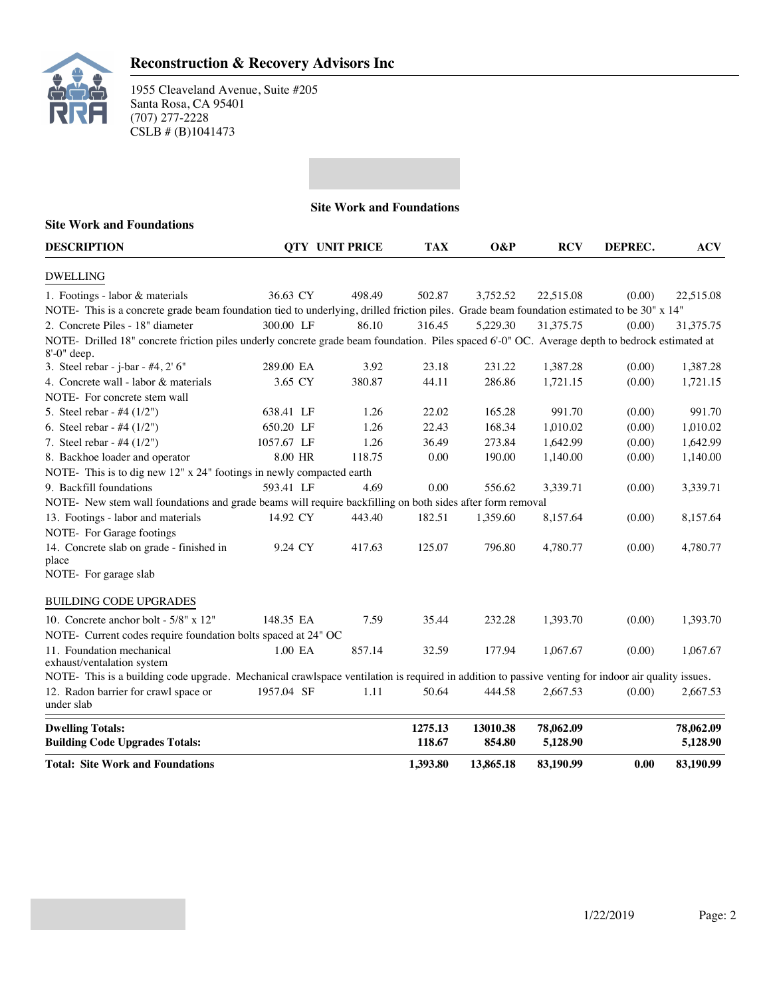

|                                                                                                                                                                  |            | <b>Site Work and Foundations</b> |                   |                    |                       |         |                       |
|------------------------------------------------------------------------------------------------------------------------------------------------------------------|------------|----------------------------------|-------------------|--------------------|-----------------------|---------|-----------------------|
| <b>Site Work and Foundations</b>                                                                                                                                 |            |                                  |                   |                    |                       |         |                       |
| <b>DESCRIPTION</b>                                                                                                                                               |            | <b>OTY UNIT PRICE</b>            | <b>TAX</b>        | O&P                | <b>RCV</b>            | DEPREC. | <b>ACV</b>            |
| <b>DWELLING</b>                                                                                                                                                  |            |                                  |                   |                    |                       |         |                       |
| 1. Footings - labor & materials                                                                                                                                  | 36.63 CY   | 498.49                           | 502.87            | 3,752.52           | 22,515.08             | (0.00)  | 22,515.08             |
| NOTE- This is a concrete grade beam foundation tied to underlying, drilled friction piles. Grade beam foundation estimated to be 30" x 14"                       |            |                                  |                   |                    |                       |         |                       |
| 2. Concrete Piles - 18" diameter                                                                                                                                 | 300.00 LF  | 86.10                            | 316.45            | 5,229.30           | 31.375.75             | (0.00)  | 31,375.75             |
| NOTE- Drilled 18" concrete friction piles underly concrete grade beam foundation. Piles spaced 6'-0" OC. Average depth to bedrock estimated at<br>$8'-0$ " deep. |            |                                  |                   |                    |                       |         |                       |
| 3. Steel rebar - j-bar - #4, 2' 6"                                                                                                                               | 289.00 EA  | 3.92                             | 23.18             | 231.22             | 1,387.28              | (0.00)  | 1,387.28              |
| 4. Concrete wall - labor & materials                                                                                                                             | 3.65 CY    | 380.87                           | 44.11             | 286.86             | 1,721.15              | (0.00)  | 1,721.15              |
| NOTE- For concrete stem wall                                                                                                                                     |            |                                  |                   |                    |                       |         |                       |
| 5. Steel rebar - #4 (1/2")                                                                                                                                       | 638.41 LF  | 1.26                             | 22.02             | 165.28             | 991.70                | (0.00)  | 991.70                |
| 6. Steel rebar - #4 $(1/2")$                                                                                                                                     | 650.20 LF  | 1.26                             | 22.43             | 168.34             | 1,010.02              | (0.00)  | 1,010.02              |
| 7. Steel rebar - #4 $(1/2")$                                                                                                                                     | 1057.67 LF | 1.26                             | 36.49             | 273.84             | 1.642.99              | (0.00)  | 1,642.99              |
| 8. Backhoe loader and operator                                                                                                                                   | 8.00 HR    | 118.75                           | 0.00              | 190.00             | 1,140.00              | (0.00)  | 1,140.00              |
| NOTE- This is to dig new 12" x 24" footings in newly compacted earth                                                                                             |            |                                  |                   |                    |                       |         |                       |
| 9. Backfill foundations                                                                                                                                          | 593.41 LF  | 4.69                             | 0.00              | 556.62             | 3,339.71              | (0.00)  | 3,339.71              |
| NOTE- New stem wall foundations and grade beams will require backfilling on both sides after form removal                                                        |            |                                  |                   |                    |                       |         |                       |
| 13. Footings - labor and materials                                                                                                                               | 14.92 CY   | 443.40                           | 182.51            | 1,359.60           | 8,157.64              | (0.00)  | 8,157.64              |
| NOTE- For Garage footings                                                                                                                                        |            |                                  |                   |                    |                       |         |                       |
| 14. Concrete slab on grade - finished in<br>place<br>NOTE- For garage slab                                                                                       | 9.24 CY    | 417.63                           | 125.07            | 796.80             | 4,780.77              | (0.00)  | 4,780.77              |
| BUILDING CODE UPGRADES                                                                                                                                           |            |                                  |                   |                    |                       |         |                       |
| 10. Concrete anchor bolt - $5/8$ " x 12"                                                                                                                         | 148.35 EA  | 7.59                             | 35.44             | 232.28             | 1.393.70              | (0.00)  | 1.393.70              |
| NOTE- Current codes require foundation bolts spaced at 24" OC                                                                                                    |            |                                  |                   |                    |                       |         |                       |
| 11. Foundation mechanical<br>exhaust/ventalation system                                                                                                          | 1.00 EA    | 857.14                           | 32.59             | 177.94             | 1,067.67              | (0.00)  | 1.067.67              |
| NOTE- This is a building code upgrade. Mechanical crawlspace ventilation is required in addition to passive venting for indoor air quality issues.               |            |                                  |                   |                    |                       |         |                       |
| 12. Radon barrier for crawl space or<br>under slab                                                                                                               | 1957.04 SF | 1.11                             | 50.64             | 444.58             | 2,667.53              | (0.00)  | 2.667.53              |
| <b>Dwelling Totals:</b><br><b>Building Code Upgrades Totals:</b>                                                                                                 |            |                                  | 1275.13<br>118.67 | 13010.38<br>854.80 | 78,062.09<br>5,128.90 |         | 78,062.09<br>5,128.90 |
| <b>Total: Site Work and Foundations</b>                                                                                                                          |            |                                  | 1.393.80          | 13,865.18          | 83,190.99             | 0.00    | 83,190.99             |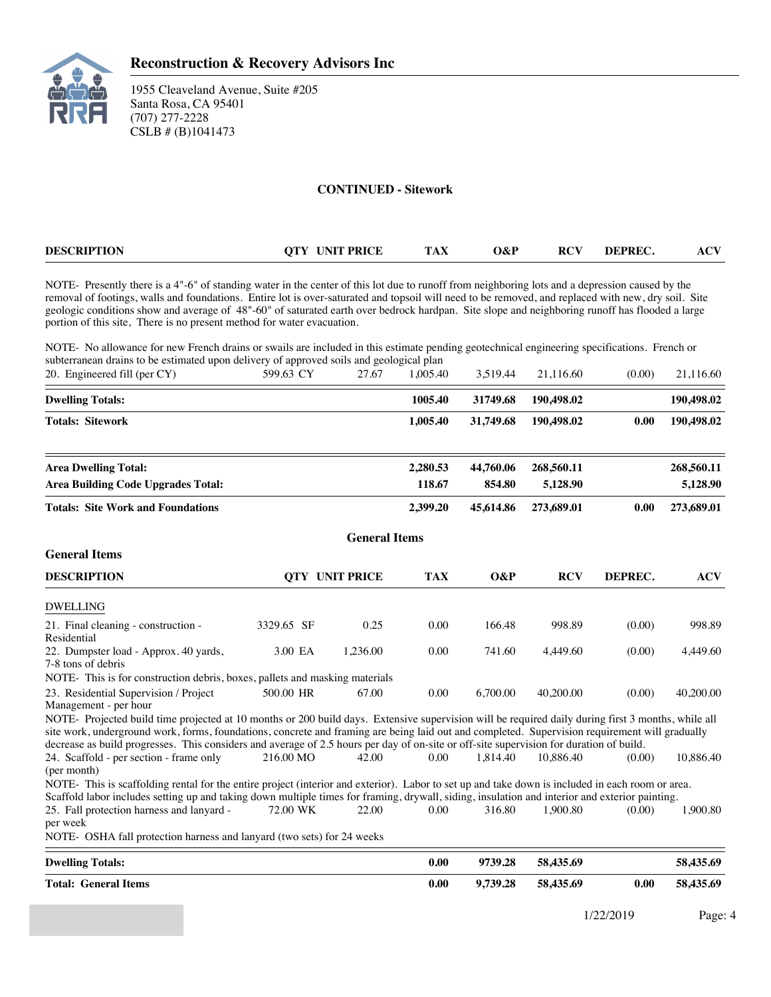

#### **CONTINUED - Sitework**

| <b>DESCRIPTION</b> | <b>UNIT PRICE</b><br>$\alpha$ $\mathbf{v}$ | $\mathbf{A}$<br>ıал | .)&P<br>$\sim$ $\sim$ | $\mathbf{D}\boldsymbol{\cap}\mathbf{V}$<br>RС<br>$\sim$ | DEPREC. | AU<br>$\sim$ |
|--------------------|--------------------------------------------|---------------------|-----------------------|---------------------------------------------------------|---------|--------------|
|                    |                                            |                     |                       |                                                         |         |              |

NOTE- Presently there is a 4"-6" of standing water in the center of this lot due to runoff from neighboring lots and a depression caused by the removal of footings, walls and foundations. Entire lot is over-saturated and topsoil will need to be removed, and replaced with new, dry soil. Site geologic conditions show and average of 48"-60" of saturated earth over bedrock hardpan. Site slope and neighboring runoff has flooded a large portion of this site, There is no present method for water evacuation.

NOTE- No allowance for new French drains or swails are included in this estimate pending geotechnical engineering specifications. French or subterranean drains to be estimated upon delivery of approved soils and geological plan

| 20. Engineered fill (per CY)                                                                                                                                                                                                                                                                                                                                                                                                                    | 599.63 CY  | 27.67                 | 1,005.40   | 3,519.44  | 21,116.60  | (0.00)  | 21,116.60  |
|-------------------------------------------------------------------------------------------------------------------------------------------------------------------------------------------------------------------------------------------------------------------------------------------------------------------------------------------------------------------------------------------------------------------------------------------------|------------|-----------------------|------------|-----------|------------|---------|------------|
| <b>Dwelling Totals:</b>                                                                                                                                                                                                                                                                                                                                                                                                                         |            |                       | 1005.40    | 31749.68  | 190,498.02 |         | 190,498.02 |
| <b>Totals: Sitework</b>                                                                                                                                                                                                                                                                                                                                                                                                                         |            |                       | 1,005.40   | 31,749.68 | 190,498.02 | 0.00    | 190,498.02 |
| <b>Area Dwelling Total:</b>                                                                                                                                                                                                                                                                                                                                                                                                                     |            |                       | 2,280.53   | 44,760.06 | 268,560.11 |         | 268,560.11 |
| <b>Area Building Code Upgrades Total:</b>                                                                                                                                                                                                                                                                                                                                                                                                       |            |                       | 118.67     | 854.80    | 5,128.90   |         | 5,128.90   |
| <b>Totals: Site Work and Foundations</b>                                                                                                                                                                                                                                                                                                                                                                                                        |            |                       | 2,399.20   | 45,614.86 | 273,689.01 | 0.00    | 273,689.01 |
|                                                                                                                                                                                                                                                                                                                                                                                                                                                 |            | <b>General Items</b>  |            |           |            |         |            |
| <b>General Items</b>                                                                                                                                                                                                                                                                                                                                                                                                                            |            |                       |            |           |            |         |            |
| <b>DESCRIPTION</b>                                                                                                                                                                                                                                                                                                                                                                                                                              |            | <b>OTY UNIT PRICE</b> | <b>TAX</b> | O&P       | <b>RCV</b> | DEPREC. | <b>ACV</b> |
| <b>DWELLING</b>                                                                                                                                                                                                                                                                                                                                                                                                                                 |            |                       |            |           |            |         |            |
| 21. Final cleaning - construction -<br>Residential                                                                                                                                                                                                                                                                                                                                                                                              | 3329.65 SF | 0.25                  | 0.00       | 166.48    | 998.89     | (0.00)  | 998.89     |
| 22. Dumpster load - Approx. 40 yards,<br>7-8 tons of debris                                                                                                                                                                                                                                                                                                                                                                                     | 3.00 EA    | 1,236.00              | 0.00       | 741.60    | 4,449.60   | (0.00)  | 4,449.60   |
| NOTE- This is for construction debris, boxes, pallets and masking materials                                                                                                                                                                                                                                                                                                                                                                     |            |                       |            |           |            |         |            |
| 23. Residential Supervision / Project<br>Management - per hour                                                                                                                                                                                                                                                                                                                                                                                  | 500.00 HR  | 67.00                 | 0.00       | 6,700.00  | 40,200.00  | (0.00)  | 40,200.00  |
| NOTE- Projected build time projected at 10 months or 200 build days. Extensive supervision will be required daily during first 3 months, while all<br>site work, underground work, forms, foundations, concrete and framing are being laid out and completed. Supervision requirement will gradually<br>decrease as build progresses. This considers and average of 2.5 hours per day of on-site or off-site supervision for duration of build. |            |                       |            |           |            |         |            |
| 24. Scaffold - per section - frame only<br>(per month)                                                                                                                                                                                                                                                                                                                                                                                          | 216.00 MO  | 42.00                 | 0.00       | 1.814.40  | 10.886.40  | (0.00)  | 10,886.40  |
| NOTE-This is scaffolding rental for the entire project (interior and exterior). Labor to set up and take down is included in each room or area.                                                                                                                                                                                                                                                                                                 |            |                       |            |           |            |         |            |
| Scaffold labor includes setting up and taking down multiple times for framing, drywall, siding, insulation and interior and exterior painting.                                                                                                                                                                                                                                                                                                  |            |                       |            |           |            |         |            |
| 25. Fall protection harness and lanyard -<br>per week                                                                                                                                                                                                                                                                                                                                                                                           | 72.00 WK   | 22.00                 | 0.00       | 316.80    | 1,900.80   | (0.00)  | 1,900.80   |
| NOTE- OSHA fall protection harness and lanyard (two sets) for 24 weeks                                                                                                                                                                                                                                                                                                                                                                          |            |                       |            |           |            |         |            |
| <b>Dwelling Totals:</b>                                                                                                                                                                                                                                                                                                                                                                                                                         |            |                       | 0.00       | 9739.28   | 58,435.69  |         | 58,435.69  |
| <b>Total: General Items</b>                                                                                                                                                                                                                                                                                                                                                                                                                     |            |                       | 0.00       | 9,739.28  | 58,435.69  | 0.00    | 58,435.69  |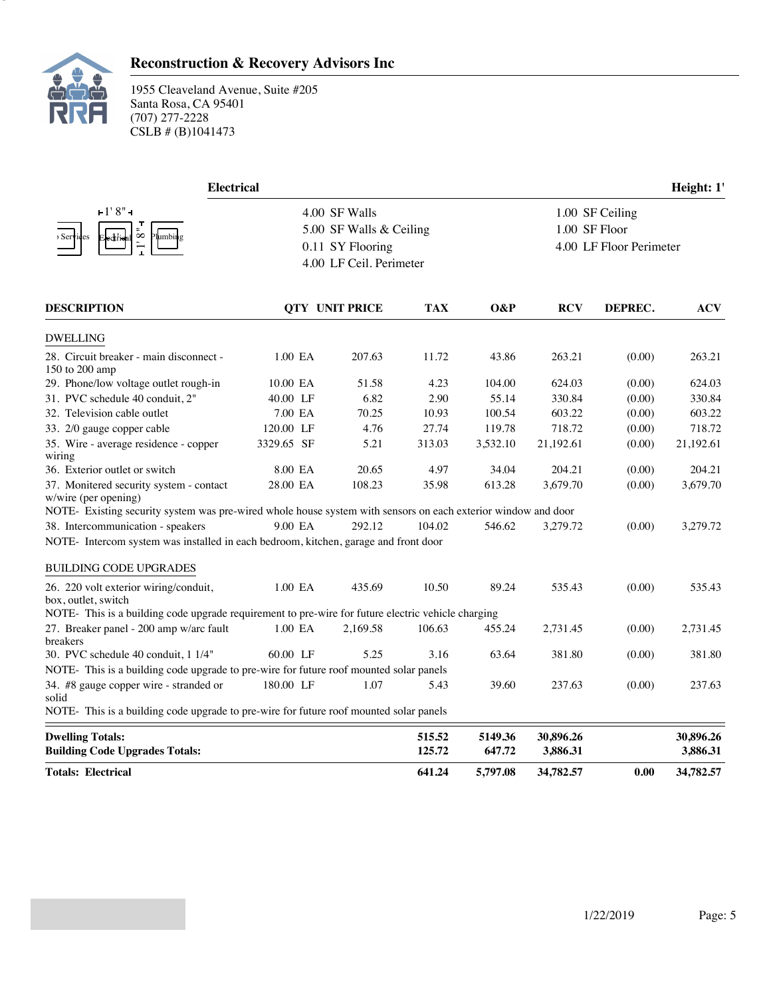

### **Reconstruction & Recovery Advisors Inc**

| <b>Electrical</b>                                                                                             |            |                         |            |          |                 |                         | Height: 1' |  |  |
|---------------------------------------------------------------------------------------------------------------|------------|-------------------------|------------|----------|-----------------|-------------------------|------------|--|--|
| $+1'8'' -$                                                                                                    |            | 4.00 SF Walls           |            |          | 1.00 SF Ceiling |                         |            |  |  |
|                                                                                                               |            | 5.00 SF Walls & Ceiling |            |          |                 | 1.00 SF Floor           |            |  |  |
| ${}^{\circ}$<br>lumbin g<br>> Serv<br>des                                                                     |            | 0.11 SY Flooring        |            |          |                 | 4.00 LF Floor Perimeter |            |  |  |
|                                                                                                               |            | 4.00 LF Ceil. Perimeter |            |          |                 |                         |            |  |  |
| <b>DESCRIPTION</b>                                                                                            |            | <b>QTY UNIT PRICE</b>   | <b>TAX</b> | O&P      | <b>RCV</b>      | DEPREC.                 | <b>ACV</b> |  |  |
| <b>DWELLING</b>                                                                                               |            |                         |            |          |                 |                         |            |  |  |
| 28. Circuit breaker - main disconnect -<br>150 to 200 amp                                                     | 1.00 EA    | 207.63                  | 11.72      | 43.86    | 263.21          | (0.00)                  | 263.21     |  |  |
| 29. Phone/low voltage outlet rough-in                                                                         | 10.00 EA   | 51.58                   | 4.23       | 104.00   | 624.03          | (0.00)                  | 624.03     |  |  |
| 31. PVC schedule 40 conduit, 2"                                                                               | 40.00 LF   | 6.82                    | 2.90       | 55.14    | 330.84          | (0.00)                  | 330.84     |  |  |
| 32. Television cable outlet                                                                                   | 7.00 EA    | 70.25                   | 10.93      | 100.54   | 603.22          | (0.00)                  | 603.22     |  |  |
| 33. 2/0 gauge copper cable                                                                                    | 120.00 LF  | 4.76                    | 27.74      | 119.78   | 718.72          | (0.00)                  | 718.72     |  |  |
| 35. Wire - average residence - copper<br>wiring                                                               | 3329.65 SF | 5.21                    | 313.03     | 3,532.10 | 21,192.61       | (0.00)                  | 21,192.61  |  |  |
| 36. Exterior outlet or switch                                                                                 | 8.00 EA    | 20.65                   | 4.97       | 34.04    | 204.21          | (0.00)                  | 204.21     |  |  |
| 37. Monitered security system - contact<br>w/wire (per opening)                                               | 28.00 EA   | 108.23                  | 35.98      | 613.28   | 3,679.70        | (0.00)                  | 3,679.70   |  |  |
| NOTE- Existing security system was pre-wired whole house system with sensors on each exterior window and door |            |                         |            |          |                 |                         |            |  |  |
| 38. Intercommunication - speakers                                                                             | 9.00 EA    | 292.12                  | 104.02     | 546.62   | 3,279.72        | (0.00)                  | 3,279.72   |  |  |
| NOTE- Intercom system was installed in each bedroom, kitchen, garage and front door                           |            |                         |            |          |                 |                         |            |  |  |
| <b>BUILDING CODE UPGRADES</b>                                                                                 |            |                         |            |          |                 |                         |            |  |  |
| 26. 220 volt exterior wiring/conduit,<br>box, outlet, switch                                                  | 1.00 EA    | 435.69                  | 10.50      | 89.24    | 535.43          | (0.00)                  | 535.43     |  |  |
| NOTE- This is a building code upgrade requirement to pre-wire for future electric vehicle charging            |            |                         |            |          |                 |                         |            |  |  |
| 27. Breaker panel - 200 amp w/arc fault<br>breakers                                                           | 1.00 EA    | 2,169.58                | 106.63     | 455.24   | 2,731.45        | (0.00)                  | 2,731.45   |  |  |
| 30. PVC schedule 40 conduit, 1 1/4"                                                                           | 60.00 LF   | 5.25                    | 3.16       | 63.64    | 381.80          | (0.00)                  | 381.80     |  |  |
| NOTE- This is a building code upgrade to pre-wire for future roof mounted solar panels                        |            |                         |            |          |                 |                         |            |  |  |
| 34. #8 gauge copper wire - stranded or<br>solid                                                               | 180.00 LF  | 1.07                    | 5.43       | 39.60    | 237.63          | (0.00)                  | 237.63     |  |  |
| NOTE- This is a building code upgrade to pre-wire for future roof mounted solar panels                        |            |                         |            |          |                 |                         |            |  |  |
| <b>Dwelling Totals:</b>                                                                                       |            |                         | 515.52     | 5149.36  | 30,896.26       |                         | 30,896.26  |  |  |
| <b>Building Code Upgrades Totals:</b>                                                                         |            |                         | 125.72     | 647.72   | 3,886.31        |                         | 3,886.31   |  |  |
| <b>Totals: Electrical</b>                                                                                     |            |                         | 641.24     | 5,797.08 | 34,782.57       | 0.00                    | 34,782.57  |  |  |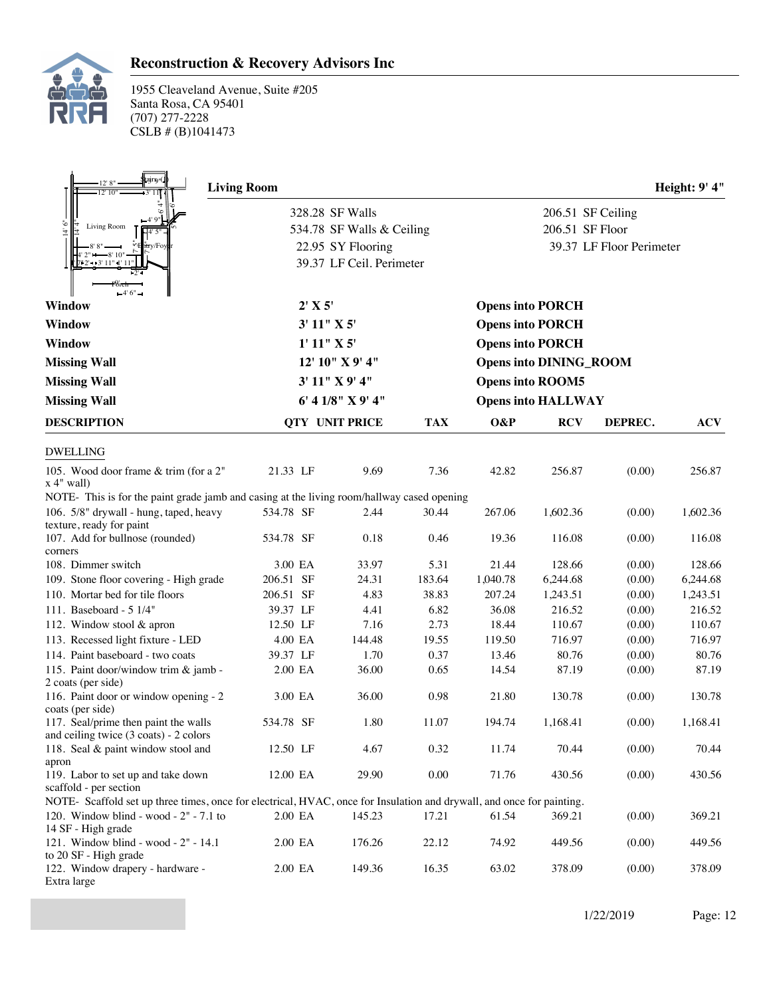

### **Reconstruction & Recovery Advisors Inc**

| agrs <sub>"</sub> (<br>12' 8"<br>$12'$ $10''$                                                                        | <b>Living Room</b> |         |                           |            |          |                               |                          | Height: 9' 4" |
|----------------------------------------------------------------------------------------------------------------------|--------------------|---------|---------------------------|------------|----------|-------------------------------|--------------------------|---------------|
|                                                                                                                      |                    |         | 328.28 SF Walls           |            |          | 206.51 SF Ceiling             |                          |               |
| Ō<br>Living Room<br>$\overline{A}$                                                                                   |                    |         | 534.78 SF Walls & Ceiling |            |          | 206.51 SF Floor               |                          |               |
|                                                                                                                      |                    |         | 22.95 SY Flooring         |            |          |                               | 39.37 LF Floor Perimeter |               |
| $12 - 3' 11' 1' 11$                                                                                                  |                    |         | 39.37 LF Ceil. Perimeter  |            |          |                               |                          |               |
| $-4'6" -$                                                                                                            |                    |         |                           |            |          |                               |                          |               |
| Window                                                                                                               |                    | 2' X 5' |                           |            |          | <b>Opens into PORCH</b>       |                          |               |
| Window                                                                                                               |                    |         | 3' 11'' X 5'              |            |          | <b>Opens into PORCH</b>       |                          |               |
| <b>Window</b>                                                                                                        |                    |         | 1' 11'' X 5'              |            |          | <b>Opens into PORCH</b>       |                          |               |
| <b>Missing Wall</b>                                                                                                  |                    |         | 12' 10" X 9' 4"           |            |          | <b>Opens into DINING_ROOM</b> |                          |               |
| <b>Missing Wall</b>                                                                                                  |                    |         | 3' 11" X 9' 4"            |            |          | <b>Opens into ROOM5</b>       |                          |               |
| <b>Missing Wall</b>                                                                                                  |                    |         | 6' 4 1/8" X 9' 4"         |            |          | <b>Opens into HALLWAY</b>     |                          |               |
|                                                                                                                      |                    |         |                           |            |          |                               |                          |               |
| <b>DESCRIPTION</b>                                                                                                   |                    |         | QTY UNIT PRICE            | <b>TAX</b> | O&P      | <b>RCV</b>                    | DEPREC.                  | <b>ACV</b>    |
| <b>DWELLING</b>                                                                                                      |                    |         |                           |            |          |                               |                          |               |
| 105. Wood door frame & trim (for a 2"<br>$x 4"$ wall)                                                                | 21.33 LF           |         | 9.69                      | 7.36       | 42.82    | 256.87                        | (0.00)                   | 256.87        |
| NOTE- This is for the paint grade jamb and casing at the living room/hallway cased opening                           |                    |         |                           |            |          |                               |                          |               |
| 106. 5/8" drywall - hung, taped, heavy                                                                               | 534.78 SF          |         | 2.44                      | 30.44      | 267.06   | 1,602.36                      | (0.00)                   | 1,602.36      |
| texture, ready for paint<br>107. Add for bullnose (rounded)                                                          | 534.78 SF          |         | 0.18                      | 0.46       | 19.36    | 116.08                        | (0.00)                   | 116.08        |
| corners                                                                                                              |                    |         |                           |            |          |                               |                          |               |
| 108. Dimmer switch                                                                                                   | 3.00 EA            |         | 33.97                     | 5.31       | 21.44    | 128.66                        | (0.00)                   | 128.66        |
| 109. Stone floor covering - High grade                                                                               | 206.51 SF          |         | 24.31                     | 183.64     | 1,040.78 | 6,244.68                      | (0.00)                   | 6,244.68      |
| 110. Mortar bed for tile floors                                                                                      | 206.51 SF          |         | 4.83                      | 38.83      | 207.24   | 1,243.51                      | (0.00)                   | 1,243.51      |
| 111. Baseboard - 5 1/4"                                                                                              | 39.37 LF           |         | 4.41                      | 6.82       | 36.08    | 216.52                        | (0.00)                   | 216.52        |
| 112. Window stool & apron                                                                                            | 12.50 LF           |         | 7.16                      | 2.73       | 18.44    | 110.67                        | (0.00)                   | 110.67        |
| 113. Recessed light fixture - LED                                                                                    | 4.00 EA            |         | 144.48                    | 19.55      | 119.50   | 716.97                        | (0.00)                   | 716.97        |
| 114. Paint baseboard - two coats                                                                                     | 39.37 LF           |         | 1.70                      | 0.37       | 13.46    | 80.76                         | (0.00)                   | 80.76         |
| 115. Paint door/window trim & jamb -<br>2 coats (per side)                                                           | 2.00 EA            |         | 36.00                     | 0.65       | 14.54    | 87.19                         | (0.00)                   | 87.19         |
| 116. Paint door or window opening - 2                                                                                | 3.00 EA            |         | 36.00                     | 0.98       | 21.80    | 130.78                        | (0.00)                   | 130.78        |
| coats (per side)<br>117. Seal/prime then paint the walls                                                             | 534.78 SF          |         | 1.80                      | 11.07      | 194.74   | 1.168.41                      | (0.00)                   | 1,168.41      |
| and ceiling twice $(3 \text{ coats}) - 2 \text{ colors}$<br>118. Seal & paint window stool and                       | 12.50 LF           |         | 4.67                      | 0.32       | 11.74    | 70.44                         | (0.00)                   | 70.44         |
| apron                                                                                                                |                    |         |                           |            |          |                               |                          |               |
| 119. Labor to set up and take down<br>scaffold - per section                                                         | 12.00 EA           |         | 29.90                     | 0.00       | 71.76    | 430.56                        | (0.00)                   | 430.56        |
| NOTE-Scaffold set up three times, once for electrical, HVAC, once for Insulation and drywall, and once for painting. |                    |         |                           |            |          |                               |                          |               |
| 120. Window blind - wood - $2"$ - 7.1 to<br>14 SF - High grade                                                       | 2.00 EA            |         | 145.23                    | 17.21      | 61.54    | 369.21                        | (0.00)                   | 369.21        |
| 121. Window blind - wood - 2" - 14.1<br>to 20 SF - High grade                                                        | 2.00 EA            |         | 176.26                    | 22.12      | 74.92    | 449.56                        | (0.00)                   | 449.56        |
| 122. Window drapery - hardware -<br>Extra large                                                                      | 2.00 EA            |         | 149.36                    | 16.35      | 63.02    | 378.09                        | (0.00)                   | 378.09        |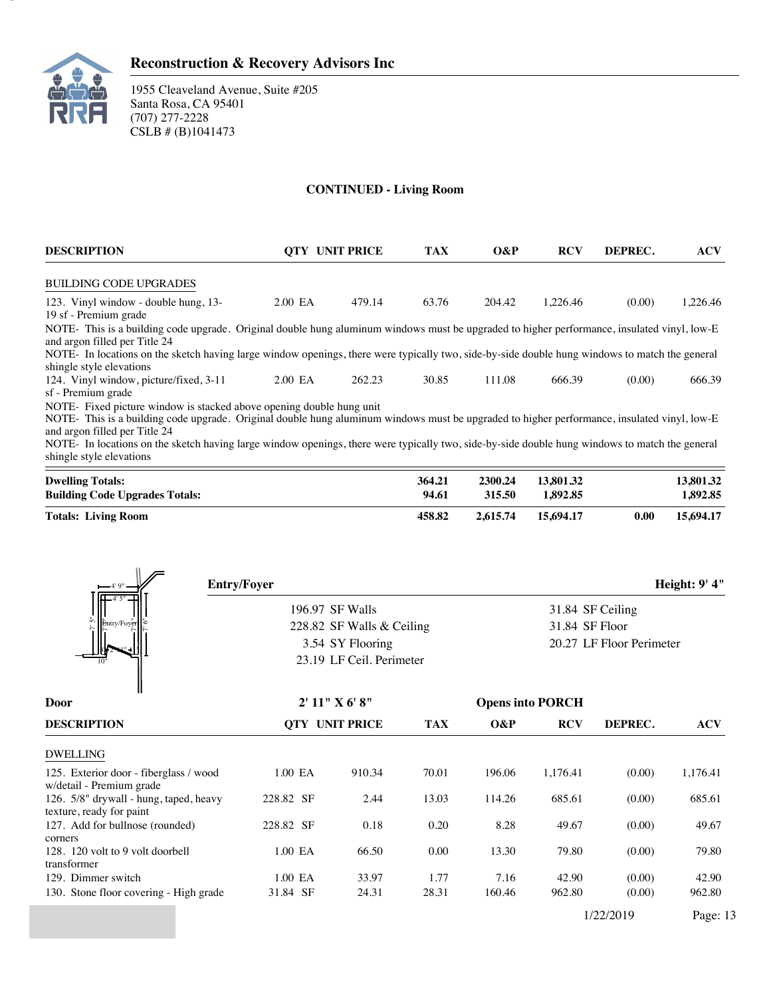

1955 Cleaveland Avenue, Suite #205 Santa Rosa, CA 95401 (707) 277-2228 CSLB # (B)1041473

### **CONTINUED - Living Room**

| <b>DESCRIPTION</b>                                                                                                                             |         | <b>OTY UNIT PRICE</b> |       | $O\&P$ | <b>RCV</b> | DEPREC. | <b>ACV</b> |
|------------------------------------------------------------------------------------------------------------------------------------------------|---------|-----------------------|-------|--------|------------|---------|------------|
| <b>BUILDING CODE UPGRADES</b>                                                                                                                  |         |                       |       |        |            |         |            |
| 123. Vinyl window - double hung, 13-                                                                                                           | 2.00 EA | 479.14                | 63.76 | 204.42 | 1.226.46   | (0.00)  | 1.226.46   |
| 19 sf - Premium grade                                                                                                                          |         |                       |       |        |            |         |            |
| NOTE- This is a building code upgrade. Original double hung aluminum windows must be upgraded to higher performance, insulated vinyl, low-E    |         |                       |       |        |            |         |            |
| and argon filled per Title 24                                                                                                                  |         |                       |       |        |            |         |            |
| NOTE- In locations on the sketch having large window openings, there were typically two, side-by-side double hung windows to match the general |         |                       |       |        |            |         |            |
| shingle style elevations                                                                                                                       |         |                       |       |        |            |         |            |
| 124. Vinyl window, picture/fixed, 3-11                                                                                                         | 2.00 EA | 262.23                | 30.85 | 111.08 | 666.39     | (0.00)  | 666.39     |
| sf - Premium grade                                                                                                                             |         |                       |       |        |            |         |            |
| NOTE- Fixed picture window is stacked above opening double hung unit                                                                           |         |                       |       |        |            |         |            |
| NOTE- This is a building code upgrade. Original double hung aluminum windows must be upgraded to higher performance, insulated vinyl, low-E    |         |                       |       |        |            |         |            |
| and argon filled per Title 24                                                                                                                  |         |                       |       |        |            |         |            |

NOTE- In locations on the sketch having large window openings, there were typically two, side-by-side double hung windows to match the general shingle style elevations Bathroom Walk-in Closet  $\mathcal{L}(\mathcal{L})$ 

| <b>Dwelling Totals:</b>               | 364.21 | 2300.24  | 13.801.32 |      | 13,801.32 |
|---------------------------------------|--------|----------|-----------|------|-----------|
| <b>Building Code Upgrades Totals:</b> | 94.61  | 315.50   | 1.892.85  |      | 1.892.85  |
| <b>Totals: Living Room</b>            | 458.82 | 2.615.74 | 15.694.17 | 0.00 | 15,694.17 |

| $-4'9''$                                                           | <b>Entry/Foyer</b> |                           |            |        | Height: 9' 4"                              |                  |            |  |  |
|--------------------------------------------------------------------|--------------------|---------------------------|------------|--------|--------------------------------------------|------------------|------------|--|--|
|                                                                    |                    | 196.97 SF Walls           |            |        |                                            | 31.84 SF Ceiling |            |  |  |
| Entry/Foyer                                                        |                    | 228.82 SF Walls & Ceiling |            |        | 31.84 SF Floor<br>20.27 LF Floor Perimeter |                  |            |  |  |
|                                                                    |                    | 3.54 SY Flooring          |            |        |                                            |                  |            |  |  |
|                                                                    |                    | 23.19 LF Ceil. Perimeter  |            |        |                                            |                  |            |  |  |
| Door                                                               |                    | 2' 11'' X 6' 8''          |            |        | <b>Opens into PORCH</b>                    |                  |            |  |  |
| <b>DESCRIPTION</b>                                                 |                    | <b>QTY UNIT PRICE</b>     | <b>TAX</b> | $O\&P$ | <b>RCV</b>                                 | DEPREC.          | <b>ACV</b> |  |  |
| <b>DWELLING</b>                                                    |                    |                           |            |        |                                            |                  |            |  |  |
| 125. Exterior door - fiberglass / wood<br>w/detail - Premium grade | 1.00 EA            | 910.34                    | 70.01      | 196.06 | 1,176.41                                   | (0.00)           | 1,176.41   |  |  |
| 126. 5/8" drywall - hung, taped, heavy<br>texture, ready for paint | 228.82 SF          | 2.44                      | 13.03      | 114.26 | 685.61                                     | (0.00)           | 685.61     |  |  |
| 127. Add for bullnose (rounded)<br>corners                         | 228.82 SF          | 0.18                      | 0.20       | 8.28   | 49.67                                      | (0.00)           | 49.67      |  |  |
| 128. 120 volt to 9 volt doorbell<br>transformer                    | 1.00 EA            | 66.50                     | 0.00       | 13.30  | 79.80                                      | (0.00)           | 79.80      |  |  |
| 129. Dimmer switch                                                 | 1.00 EA            | 33.97                     | 1.77       | 7.16   | 42.90                                      | (0.00)           | 42.90      |  |  |
| 130. Stone floor covering - High grade                             | 31.84 SF           | 24.31                     | 28.31      | 160.46 | 962.80                                     | (0.00)           | 962.80     |  |  |
|                                                                    |                    |                           |            |        |                                            | 1/22/2019        | Page: 13   |  |  |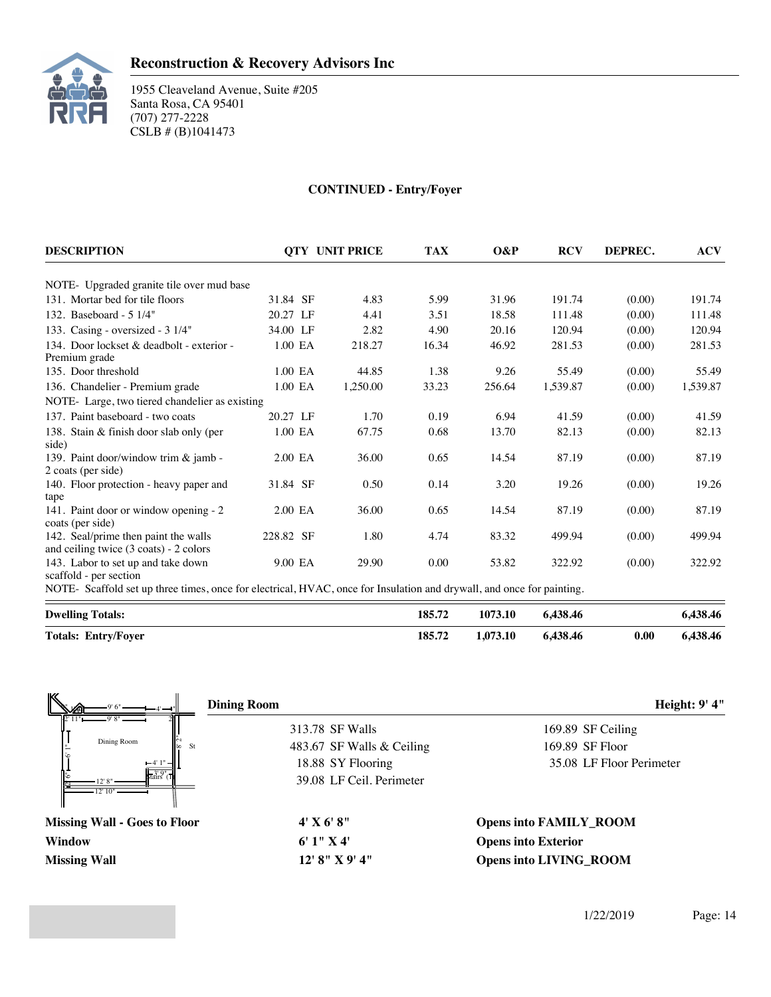

### **CONTINUED - Entry/Foyer**

| <b>DESCRIPTION</b>                                                                                                   |           | <b>OTY UNIT PRICE</b> | <b>TAX</b> | O&P     | <b>RCV</b> | DEPREC. | <b>ACV</b> |
|----------------------------------------------------------------------------------------------------------------------|-----------|-----------------------|------------|---------|------------|---------|------------|
| NOTE- Upgraded granite tile over mud base                                                                            |           |                       |            |         |            |         |            |
| 131. Mortar bed for tile floors                                                                                      | 31.84 SF  | 4.83                  | 5.99       | 31.96   | 191.74     | (0.00)  | 191.74     |
| 132. Baseboard - 5 1/4"                                                                                              | 20.27 LF  | 4.41                  | 3.51       | 18.58   | 111.48     | (0.00)  | 111.48     |
| 133. Casing - oversized - $3 \frac{1}{4}$                                                                            | 34.00 LF  | 2.82                  | 4.90       | 20.16   | 120.94     | (0.00)  | 120.94     |
| 134. Door lockset & deadbolt - exterior -<br>Premium grade                                                           | $1.00$ EA | 218.27                | 16.34      | 46.92   | 281.53     | (0.00)  | 281.53     |
| 135. Door threshold                                                                                                  | 1.00 EA   | 44.85                 | 1.38       | 9.26    | 55.49      | (0.00)  | 55.49      |
| 136. Chandelier - Premium grade                                                                                      | 1.00 EA   | 1.250.00              | 33.23      | 256.64  | 1.539.87   | (0.00)  | 1,539.87   |
| NOTE-Large, two tiered chandelier as existing                                                                        |           |                       |            |         |            |         |            |
| 137. Paint baseboard - two coats                                                                                     | 20.27 LF  | 1.70                  | 0.19       | 6.94    | 41.59      | (0.00)  | 41.59      |
| 138. Stain & finish door slab only (per<br>side)                                                                     | 1.00 EA   | 67.75                 | 0.68       | 13.70   | 82.13      | (0.00)  | 82.13      |
| 139. Paint door/window trim & jamb -<br>2 coats (per side)                                                           | $2.00$ EA | 36.00                 | 0.65       | 14.54   | 87.19      | (0.00)  | 87.19      |
| 140. Floor protection - heavy paper and<br>tape                                                                      | 31.84 SF  | 0.50                  | 0.14       | 3.20    | 19.26      | (0.00)  | 19.26      |
| 141. Paint door or window opening - 2<br>coats (per side)                                                            | 2.00 EA   | 36.00                 | 0.65       | 14.54   | 87.19      | (0.00)  | 87.19      |
| 142. Seal/prime then paint the walls<br>and ceiling twice $(3 \text{ coats}) - 2 \text{ colors}$                     | 228.82 SF | 1.80                  | 4.74       | 83.32   | 499.94     | (0.00)  | 499.94     |
| 143. Labor to set up and take down<br>scaffold - per section                                                         | 9.00 EA   | 29.90                 | 0.00       | 53.82   | 322.92     | (0.00)  | 322.92     |
| NOTE-Scaffold set up three times, once for electrical, HVAC, once for Insulation and drywall, and once for painting. |           |                       |            |         |            |         |            |
| <b>Dwelling Totals:</b>                                                                                              |           |                       | 185.72     | 1073.10 | 6,438.46   |         | 6,438.46   |

**Totals: Entry/Foyer 185.72 1,073.10 6,438.46 0.00 6,438.46**

 $313.78$  $\frac{3!}{3!}$ stairs (T Dining Room  $\overline{S}$ 313.78 SF Walls xxx  $-4'1$ 8' 2" 4' 9' 8" 9' 6" 2"  $\frac{1}{2}$   $\frac{1}{4}$   $\frac{1}{4}$   $\frac{1}{4}$   $\frac{1}{4}$   $\frac{1}{4}$   $\frac{1}{4}$   $\frac{1}{4}$   $\frac{1}{4}$   $\frac{1}{4}$   $\frac{1}{4}$   $\frac{1}{4}$   $\frac{1}{4}$   $\frac{1}{4}$   $\frac{1}{4}$   $\frac{1}{4}$   $\frac{1}{4}$   $\frac{1}{4}$   $\frac{1}{4}$   $\frac{1}{4}$   $\frac{1}{4}$   $\frac{1}{4}$  2' 11" 9" -<br>6 .<br>त 12' 10" 12' 8" **Dining Room Height: 9' 4"** 483.67 SF Walls & Ceiling 18.88 SY Flooring 39.08 LF Ceil. Perimeter 169.89 SF Ceiling 169.89 SF Floor 35.08 LF Floor Perimeter **Missing Wall - Goes to Floor 4' X 6' 8" Opens into FAMILY\_ROOM Window 6' 1" X 4' Opens into Exterior Missing Wall 12' 8" X 9' 4" Opens into LIVING\_ROOM**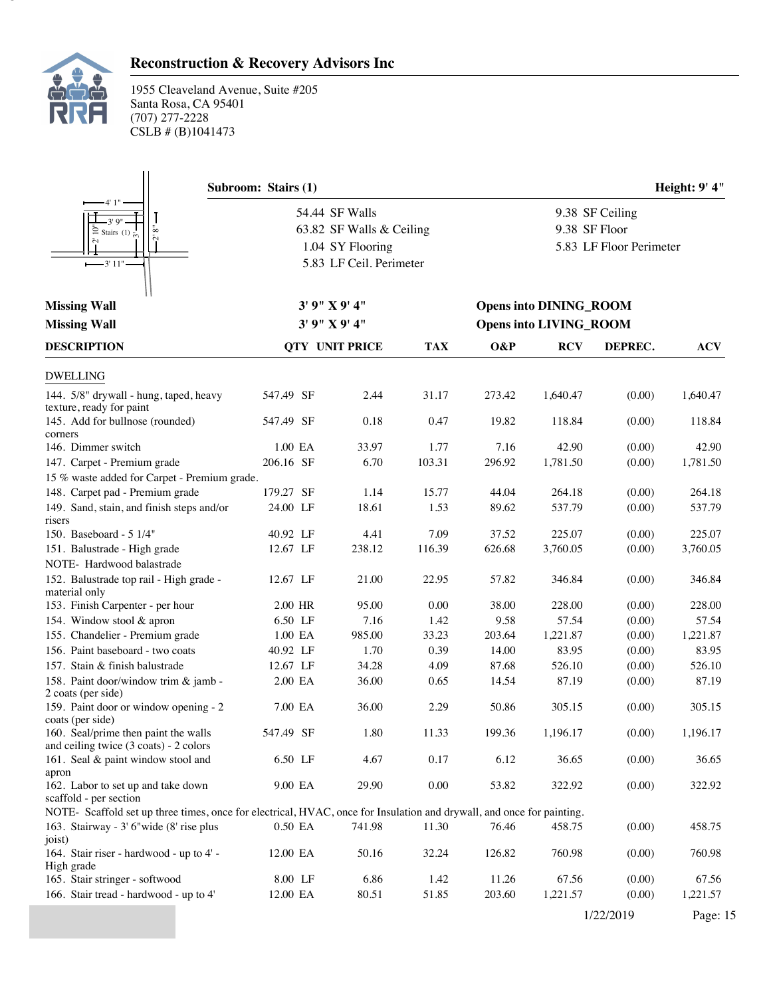

# **Reconstruction & Recovery Advisors Inc**

|                                                                                                                      | Subroom: Stairs (1)   |  |                          |        |                               |                               |                         | Height: 9' 4" |  |
|----------------------------------------------------------------------------------------------------------------------|-----------------------|--|--------------------------|--------|-------------------------------|-------------------------------|-------------------------|---------------|--|
| 4' 1"                                                                                                                |                       |  | 54.44 SF Walls           |        |                               |                               | 9.38 SF Ceiling         |               |  |
| 3'9''<br>$\rm \ddot{\circ}$<br>$\subseteq$ Stairs (1) $\approx$                                                      |                       |  | 63.82 SF Walls & Ceiling |        |                               | 9.38 SF Floor                 |                         |               |  |
|                                                                                                                      |                       |  | 1.04 SY Flooring         |        |                               |                               | 5.83 LF Floor Perimeter |               |  |
| $-3'11"$                                                                                                             |                       |  | 5.83 LF Ceil. Perimeter  |        |                               |                               |                         |               |  |
|                                                                                                                      |                       |  |                          |        |                               |                               |                         |               |  |
|                                                                                                                      |                       |  | 3'9''X9'4''              |        |                               |                               |                         |               |  |
| <b>Missing Wall</b>                                                                                                  |                       |  |                          |        |                               | <b>Opens into DINING_ROOM</b> |                         |               |  |
| <b>Missing Wall</b>                                                                                                  |                       |  | 3'9''X9'4''              |        | <b>Opens into LIVING_ROOM</b> |                               |                         |               |  |
| <b>DESCRIPTION</b>                                                                                                   | <b>QTY UNIT PRICE</b> |  |                          |        | O&P                           | <b>RCV</b>                    | DEPREC.                 | <b>ACV</b>    |  |
| <b>DWELLING</b>                                                                                                      |                       |  |                          |        |                               |                               |                         |               |  |
| 144. 5/8" drywall - hung, taped, heavy<br>texture, ready for paint                                                   | 547.49 SF             |  | 2.44                     | 31.17  | 273.42                        | 1,640.47                      | (0.00)                  | 1,640.47      |  |
| 145. Add for bullnose (rounded)<br>corners                                                                           | 547.49 SF             |  | 0.18                     | 0.47   | 19.82                         | 118.84                        | (0.00)                  | 118.84        |  |
| 146. Dimmer switch                                                                                                   | 1.00 EA               |  | 33.97                    | 1.77   | 7.16                          | 42.90                         | (0.00)                  | 42.90         |  |
| 147. Carpet - Premium grade                                                                                          | 206.16 SF             |  | 6.70                     | 103.31 | 296.92                        | 1,781.50                      | (0.00)                  | 1,781.50      |  |
| 15 % waste added for Carpet - Premium grade.                                                                         |                       |  |                          |        |                               |                               |                         |               |  |
| 148. Carpet pad - Premium grade                                                                                      | 179.27 SF             |  | 1.14                     | 15.77  | 44.04                         | 264.18                        | (0.00)                  | 264.18        |  |
| 149. Sand, stain, and finish steps and/or                                                                            | 24.00 LF              |  | 18.61                    | 1.53   | 89.62                         | 537.79                        | (0.00)                  | 537.79        |  |
| risers<br>150. Baseboard - 5 1/4"                                                                                    | 40.92 LF              |  | 4.41                     | 7.09   | 37.52                         | 225.07                        | (0.00)                  | 225.07        |  |
| 151. Balustrade - High grade                                                                                         | 12.67 LF              |  | 238.12                   | 116.39 | 626.68                        | 3,760.05                      | (0.00)                  | 3,760.05      |  |
| NOTE- Hardwood balastrade                                                                                            |                       |  |                          |        |                               |                               |                         |               |  |
| 152. Balustrade top rail - High grade -<br>material only                                                             | 12.67 LF              |  | 21.00                    | 22.95  | 57.82                         | 346.84                        | (0.00)                  | 346.84        |  |
| 153. Finish Carpenter - per hour                                                                                     | 2.00 HR               |  | 95.00                    | 0.00   | 38.00                         | 228.00                        | (0.00)                  | 228.00        |  |
| 154. Window stool & apron                                                                                            | 6.50 LF               |  | 7.16                     | 1.42   | 9.58                          | 57.54                         | (0.00)                  | 57.54         |  |
| 155. Chandelier - Premium grade                                                                                      | 1.00 EA               |  | 985.00                   | 33.23  | 203.64                        | 1,221.87                      | (0.00)                  | 1,221.87      |  |
| 156. Paint baseboard - two coats                                                                                     | 40.92 LF              |  | 1.70                     | 0.39   | 14.00                         | 83.95                         | (0.00)                  | 83.95         |  |
| 157. Stain & finish balustrade                                                                                       | 12.67 LF              |  | 34.28                    | 4.09   | 87.68                         | 526.10                        | (0.00)                  | 526.10        |  |
| 158. Paint door/window trim & jamb -<br>2 coats (per side)                                                           | 2.00 EA               |  | 36.00                    | 0.65   | 14.54                         | 87.19                         | (0.00)                  | 87.19         |  |
| 159. Paint door or window opening - 2<br>coats (per side)                                                            | 7.00 EA               |  | 36.00                    | 2.29   | 50.86                         | 305.15                        | (0.00)                  | 305.15        |  |
| 160. Seal/prime then paint the walls<br>and ceiling twice (3 coats) - 2 colors                                       | 547.49 SF             |  | 1.80                     | 11.33  | 199.36                        | 1,196.17                      | (0.00)                  | 1,196.17      |  |
| 161. Seal & paint window stool and<br>apron                                                                          | 6.50 LF               |  | 4.67                     | 0.17   | 6.12                          | 36.65                         | (0.00)                  | 36.65         |  |
| 162. Labor to set up and take down<br>scaffold - per section                                                         | 9.00 EA               |  | 29.90                    | 0.00   | 53.82                         | 322.92                        | (0.00)                  | 322.92        |  |
| NOTE-Scaffold set up three times, once for electrical, HVAC, once for Insulation and drywall, and once for painting. |                       |  |                          |        |                               |                               |                         |               |  |
| 163. Stairway - 3' 6"wide (8' rise plus<br>joist)                                                                    | 0.50 EA               |  | 741.98                   | 11.30  | 76.46                         | 458.75                        | (0.00)                  | 458.75        |  |
| 164. Stair riser - hardwood - up to 4' -<br>High grade                                                               | 12.00 EA              |  | 50.16                    | 32.24  | 126.82                        | 760.98                        | (0.00)                  | 760.98        |  |
| 165. Stair stringer - softwood                                                                                       | 8.00 LF               |  | 6.86                     | 1.42   | 11.26                         | 67.56                         | (0.00)                  | 67.56         |  |
| 166. Stair tread - hardwood - up to 4'                                                                               | 12.00 EA              |  | 80.51                    | 51.85  | 203.60                        | 1,221.57                      | (0.00)                  | 1,221.57      |  |
|                                                                                                                      |                       |  |                          |        |                               |                               | 1/22/2019               | Page: 15      |  |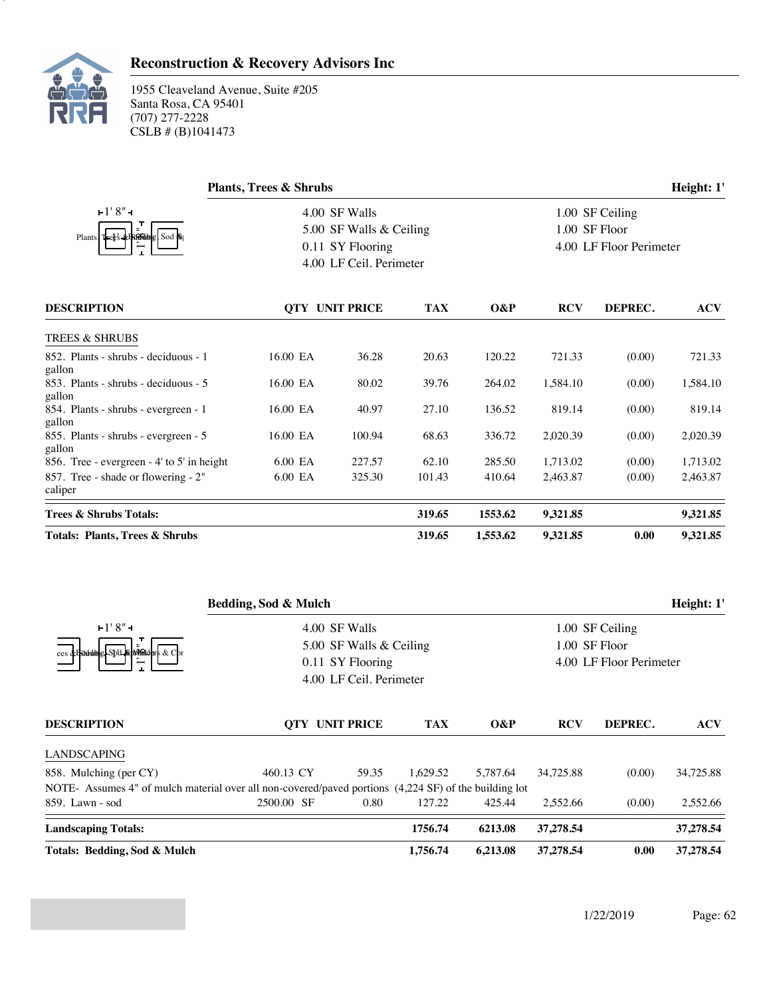

|                                                | <b>Plants, Trees &amp; Shrubs</b> |                         |            | Height: 1'      |                         |         |            |  |
|------------------------------------------------|-----------------------------------|-------------------------|------------|-----------------|-------------------------|---------|------------|--|
| $+1'8"$                                        |                                   | 4.00 SF Walls           |            | 1.00 SF Ceiling |                         |         |            |  |
|                                                |                                   | 5.00 SF Walls & Ceiling |            |                 | 1.00 SF Floor           |         |            |  |
| Plants Trees & Fireding Sod &                  |                                   | 0.11 SY Flooring        |            |                 | 4.00 LF Floor Perimeter |         |            |  |
|                                                |                                   | 4.00 LF Ceil. Perimeter |            |                 |                         |         |            |  |
| <b>DESCRIPTION</b>                             |                                   | <b>QTY UNIT PRICE</b>   | <b>TAX</b> | O&P             | <b>RCV</b>              | DEPREC. | <b>ACV</b> |  |
| <b>TREES &amp; SHRUBS</b>                      |                                   |                         |            |                 |                         |         |            |  |
| 852. Plants - shrubs - deciduous - 1<br>gallon | 16.00 EA                          | 36.28                   | 20.63      | 120.22          | 721.33                  | (0.00)  | 721.33     |  |
| 853. Plants - shrubs - deciduous - 5<br>gallon | 16.00 EA                          | 80.02                   | 39.76      | 264.02          | 1,584.10                | (0.00)  | 1,584.10   |  |
| 854. Plants - shrubs - evergreen - 1<br>gallon | 16.00 EA                          | 40.97                   | 27.10      | 136.52          | 819.14                  | (0.00)  | 819.14     |  |
| 855. Plants - shrubs - evergreen - 5<br>gallon | 16.00 EA                          | 100.94                  | 68.63      | 336.72          | 2,020.39                | (0.00)  | 2,020.39   |  |
| 856. Tree - evergreen - 4' to 5' in height     | 6.00 EA                           | 227.57                  | 62.10      | 285.50          | 1,713.02                | (0.00)  | 1,713.02   |  |
| 857. Tree - shade or flowering - 2"<br>caliper | 6.00 EA                           | 325.30                  | 101.43     | 410.64          | 2,463.87                | (0.00)  | 2,463.87   |  |
| Trees & Shrubs Totals:                         |                                   |                         | 319.65     | 1553.62         | 9,321.85                |         | 9,321.85   |  |
| Totals: Plants, Trees & Shrubs                 |                                   |                         | 319.65     | 1,553.62        | 9,321.85                | 0.00    | 9,321.85   |  |

|                                                                                                       | Bedding, Sod & Mulch<br>4.00 SF Walls |                         |               |          |            | Height: 1'<br>1.00 SF Ceiling |            |  |  |
|-------------------------------------------------------------------------------------------------------|---------------------------------------|-------------------------|---------------|----------|------------|-------------------------------|------------|--|--|
| F1'8"                                                                                                 |                                       |                         |               |          |            |                               |            |  |  |
| ees & Baddubel-Sbd-Bangfakdars & Cb                                                                   | 5.00 SF Walls & Ceiling               |                         | 1.00 SF Floor |          |            |                               |            |  |  |
|                                                                                                       | 0.11 SY Flooring                      | 4.00 LF Floor Perimeter |               |          |            |                               |            |  |  |
|                                                                                                       |                                       | 4.00 LF Ceil. Perimeter |               |          |            |                               |            |  |  |
| <b>DESCRIPTION</b>                                                                                    | <b>QTY UNIT PRICE</b>                 |                         | <b>TAX</b>    | $O\&P$   | <b>RCV</b> | DEPREC.                       | <b>ACV</b> |  |  |
| LANDSCAPING                                                                                           |                                       |                         |               |          |            |                               |            |  |  |
| 858. Mulching (per CY)                                                                                | 460.13 CY                             | 59.35                   | 1.629.52      | 5.787.64 | 34,725.88  | (0.00)                        | 34,725.88  |  |  |
| NOTE- Assumes 4" of mulch material over all non-covered/paved portions (4,224 SF) of the building lot |                                       |                         |               |          |            |                               |            |  |  |
| 859. Lawn - sod                                                                                       | 2500.00 SF                            | 0.80                    | 127.22        | 425.44   | 2,552.66   | (0.00)                        | 2,552.66   |  |  |
| <b>Landscaping Totals:</b>                                                                            |                                       |                         | 1756.74       | 6213.08  | 37,278.54  |                               | 37,278.54  |  |  |
| Totals: Bedding, Sod & Mulch                                                                          |                                       |                         | 1,756.74      | 6.213.08 | 37,278.54  | 0.00                          | 37,278.54  |  |  |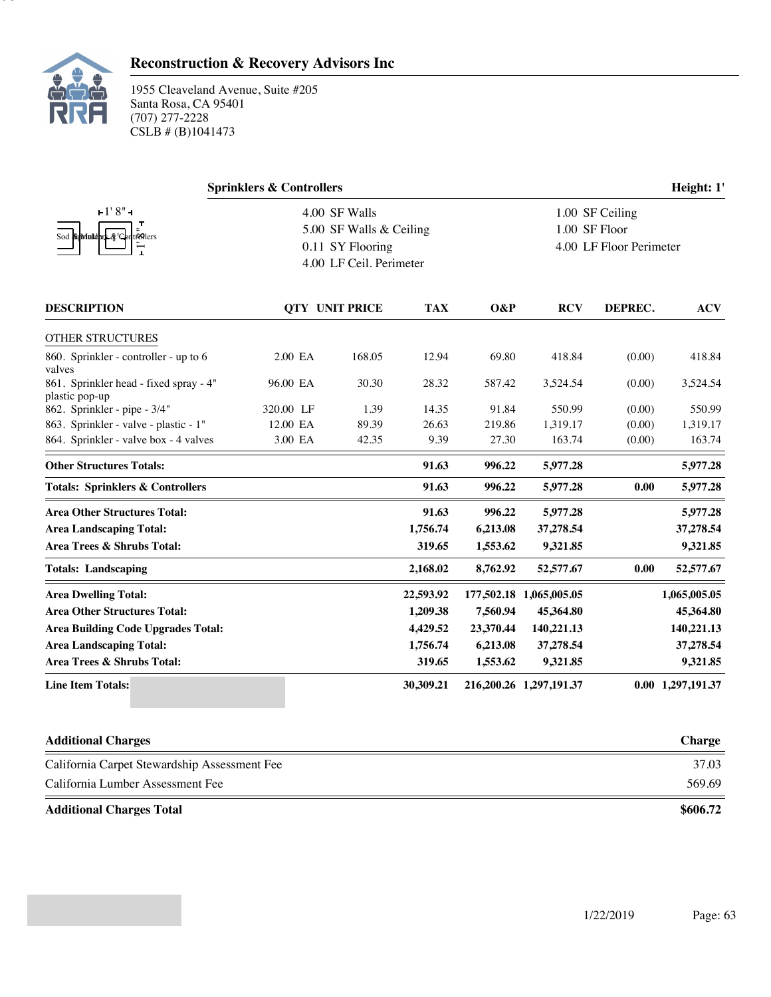

# **Reconstruction & Recovery Advisors Inc**

|                                                          | <b>Sprinklers &amp; Controllers</b> | Height: 1'                                         |                                                             |           |                         |         |                   |
|----------------------------------------------------------|-------------------------------------|----------------------------------------------------|-------------------------------------------------------------|-----------|-------------------------|---------|-------------------|
| $-1'8'' -$<br>Sod SpMnkdark & C<br>trollers              | 4.00 SF Walls<br>0.11 SY Flooring   | 5.00 SF Walls & Ceiling<br>4.00 LF Ceil. Perimeter | 1.00 SF Ceiling<br>1.00 SF Floor<br>4.00 LF Floor Perimeter |           |                         |         |                   |
| <b>DESCRIPTION</b>                                       |                                     | <b>QTY UNIT PRICE</b>                              | <b>TAX</b>                                                  | O&P       | <b>RCV</b>              | DEPREC. | <b>ACV</b>        |
| OTHER STRUCTURES                                         |                                     |                                                    |                                                             |           |                         |         |                   |
| 860. Sprinkler - controller - up to 6<br>valves          | 2.00 EA                             | 168.05                                             | 12.94                                                       | 69.80     | 418.84                  | (0.00)  | 418.84            |
| 861. Sprinkler head - fixed spray - 4"<br>plastic pop-up | 96.00 EA                            | 30.30                                              | 28.32                                                       | 587.42    | 3,524.54                | (0.00)  | 3,524.54          |
| 862. Sprinkler - pipe - 3/4"                             | 320.00 LF                           | 1.39                                               | 14.35                                                       | 91.84     | 550.99                  | (0.00)  | 550.99            |
| 863. Sprinkler - valve - plastic - 1"                    | 12.00 EA                            | 89.39                                              | 26.63                                                       | 219.86    | 1,319.17                | (0.00)  | 1,319.17          |
| 864. Sprinkler - valve box - 4 valves                    | 3.00 EA                             | 42.35                                              | 9.39                                                        | 27.30     | 163.74                  | (0.00)  | 163.74            |
| <b>Other Structures Totals:</b>                          |                                     |                                                    | 91.63                                                       | 996.22    | 5,977.28                |         | 5,977.28          |
| <b>Totals: Sprinklers &amp; Controllers</b>              |                                     |                                                    | 91.63                                                       | 996.22    | 5,977.28                | 0.00    | 5,977.28          |
| <b>Area Other Structures Total:</b>                      |                                     |                                                    | 91.63                                                       | 996.22    | 5,977.28                |         | 5,977.28          |
| <b>Area Landscaping Total:</b>                           |                                     |                                                    | 1,756.74                                                    | 6,213.08  | 37,278.54               |         | 37,278.54         |
| Area Trees & Shrubs Total:                               |                                     |                                                    | 319.65                                                      | 1,553.62  | 9,321.85                |         | 9,321.85          |
| <b>Totals: Landscaping</b>                               |                                     |                                                    | 2,168.02                                                    | 8,762.92  | 52,577.67               | 0.00    | 52,577.67         |
| <b>Area Dwelling Total:</b>                              |                                     |                                                    | 22,593.92                                                   |           | 177,502.18 1,065,005.05 |         | 1,065,005.05      |
| <b>Area Other Structures Total:</b>                      |                                     |                                                    | 1,209.38                                                    | 7,560.94  | 45,364.80               |         | 45,364.80         |
| <b>Area Building Code Upgrades Total:</b>                |                                     |                                                    | 4,429.52                                                    | 23,370.44 | 140,221.13              |         | 140,221.13        |
| <b>Area Landscaping Total:</b>                           |                                     |                                                    | 1,756.74                                                    | 6,213.08  | 37,278.54               |         | 37,278.54         |
| Area Trees & Shrubs Total:                               |                                     |                                                    | 319.65                                                      | 1,553.62  | 9,321.85                |         | 9,321.85          |
| <b>Line Item Totals:</b>                                 |                                     |                                                    | 30,309.21                                                   |           | 216,200.26 1,297,191.37 |         | 0.00 1,297,191.37 |
|                                                          |                                     |                                                    |                                                             |           |                         |         |                   |

| <b>Additional Charges</b>                    | <b>Charge</b> |
|----------------------------------------------|---------------|
| California Carpet Stewardship Assessment Fee | 37.03         |
| California Lumber Assessment Fee             | 569.69        |
| <b>Additional Charges Total</b>              | \$606.72      |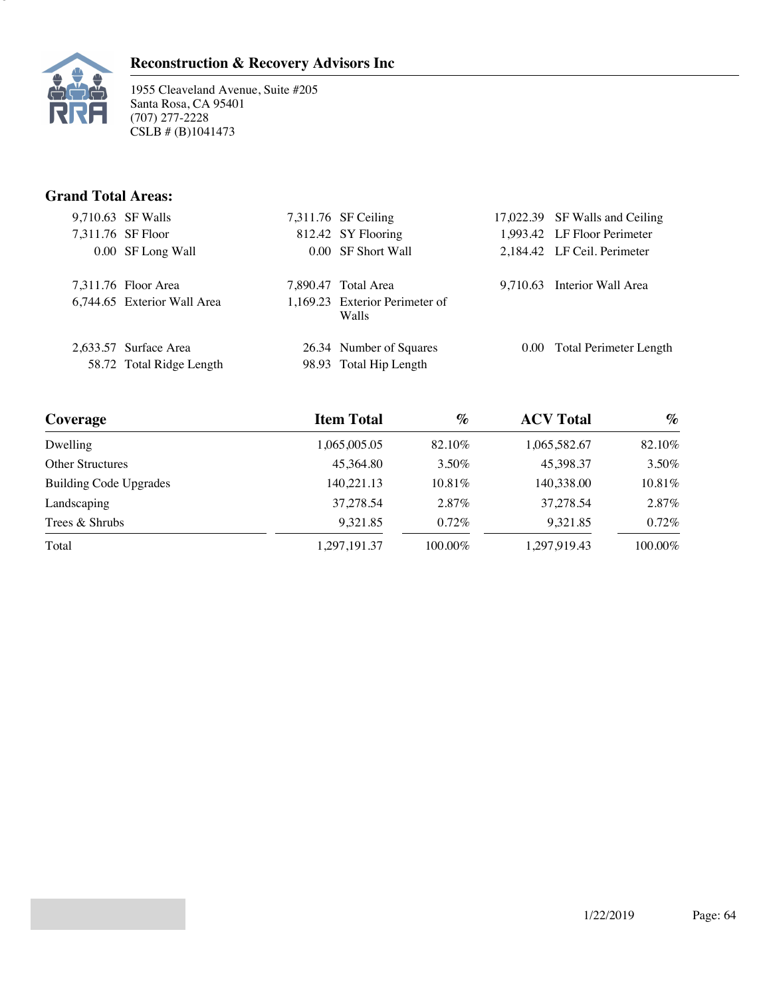



1955 Cleaveland Avenue, Suite #205 Santa Rosa, CA 95401 (707) 277-2228 CSLB # (B)1041473

## **Grand Total Areas:**

|  | 9,710.63 SF Walls           | 7,311.76 SF Ceiling                     | 17,022.39 SF Walls and Ceiling |
|--|-----------------------------|-----------------------------------------|--------------------------------|
|  | 7,311.76 SF Floor           | 812.42 SY Flooring                      | 1,993.42 LF Floor Perimeter    |
|  | 0.00 SF Long Wall           | 0.00 SF Short Wall                      | 2,184.42 LF Ceil. Perimeter    |
|  | 7,311.76 Floor Area         | 7,890.47 Total Area                     | 9,710.63 Interior Wall Area    |
|  | 6,744.65 Exterior Wall Area | 1,169.23 Exterior Perimeter of<br>Walls |                                |
|  | 2,633.57 Surface Area       | 26.34 Number of Squares                 | 0.00 Total Perimeter Length    |
|  | 58.72 Total Ridge Length    | 98.93 Total Hip Length                  |                                |
|  |                             |                                         |                                |

| Coverage                      | <b>Item Total</b> | $\%$       | <b>ACV Total</b> | $\%$    |
|-------------------------------|-------------------|------------|------------------|---------|
| Dwelling                      | 1,065,005.05      | 82.10%     | 1,065,582.67     | 82.10%  |
| <b>Other Structures</b>       | 45.364.80         | 3.50%      | 45.398.37        | 3.50%   |
| <b>Building Code Upgrades</b> | 140,221.13        | $10.81\%$  | 140,338.00       | 10.81%  |
| Landscaping                   | 37.278.54         | $2.87\%$   | 37.278.54        | 2.87%   |
| Trees & Shrubs                | 9.321.85          | $0.72\%$   | 9.321.85         | 0.72%   |
| Total                         | 1,297,191.37      | $100.00\%$ | 1,297,919.43     | 100.00% |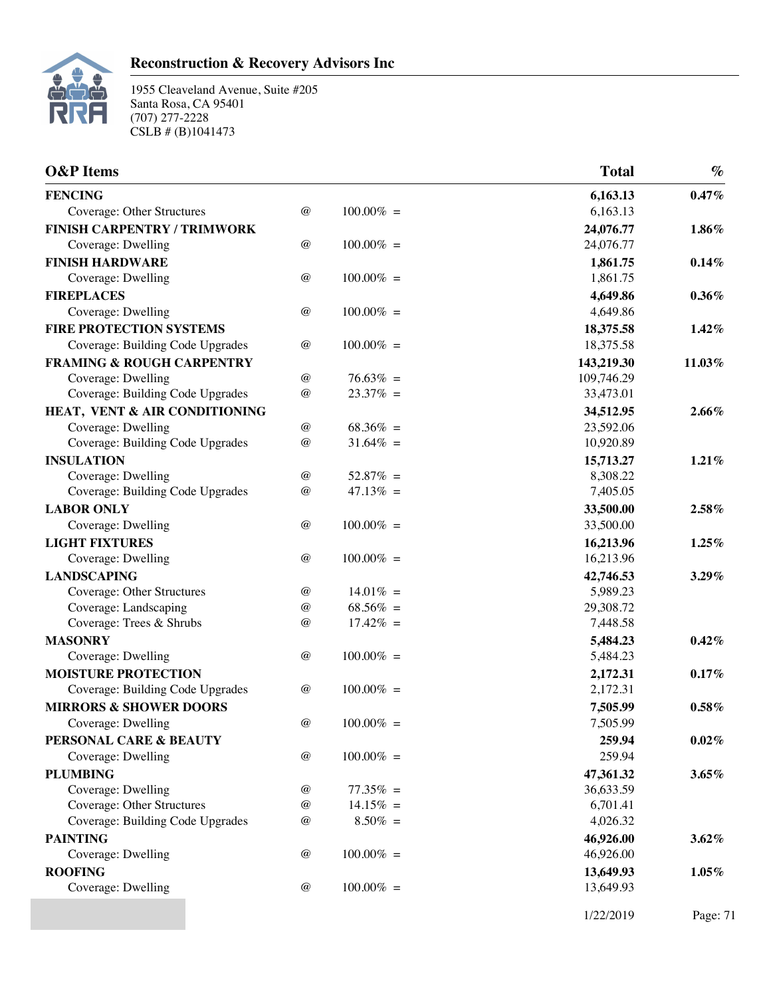

| <b>O&amp;P</b> Items                 |                         |              | <b>Total</b> | $\%$     |
|--------------------------------------|-------------------------|--------------|--------------|----------|
| <b>FENCING</b>                       |                         |              | 6,163.13     | 0.47%    |
| Coverage: Other Structures           | $\omega$                | $100.00\% =$ | 6,163.13     |          |
| <b>FINISH CARPENTRY / TRIMWORK</b>   |                         |              | 24,076.77    | 1.86%    |
| Coverage: Dwelling                   | $^{\,a}$                | $100.00\% =$ | 24,076.77    |          |
| <b>FINISH HARDWARE</b>               |                         |              | 1,861.75     | 0.14%    |
| Coverage: Dwelling                   | $\circleda$             | $100.00\% =$ | 1,861.75     |          |
| <b>FIREPLACES</b>                    |                         |              | 4,649.86     | 0.36%    |
| Coverage: Dwelling                   | $^{\circledR}$          | $100.00\% =$ | 4,649.86     |          |
| <b>FIRE PROTECTION SYSTEMS</b>       |                         |              | 18,375.58    | $1.42\%$ |
| Coverage: Building Code Upgrades     | $^{\, \circledR}$       | $100.00\% =$ | 18,375.58    |          |
| <b>FRAMING &amp; ROUGH CARPENTRY</b> |                         |              | 143,219.30   | 11.03%   |
| Coverage: Dwelling                   | $^{\,a}$                | $76.63\% =$  | 109,746.29   |          |
| Coverage: Building Code Upgrades     | $^{\circledR}$          | $23.37\% =$  | 33,473.01    |          |
| HEAT, VENT & AIR CONDITIONING        |                         |              | 34,512.95    | $2.66\%$ |
| Coverage: Dwelling                   | $\circleda$             | $68.36\% =$  | 23,592.06    |          |
| Coverage: Building Code Upgrades     | $^{\,a}$                | $31.64\% =$  | 10,920.89    |          |
| <b>INSULATION</b>                    |                         |              | 15,713.27    | 1.21%    |
| Coverage: Dwelling                   | $^{\,a}$                | $52.87\% =$  | 8,308.22     |          |
| Coverage: Building Code Upgrades     | $^{\,a}$                | $47.13\% =$  | 7,405.05     |          |
| <b>LABOR ONLY</b>                    |                         |              | 33,500.00    | 2.58%    |
| Coverage: Dwelling                   | $^{\,a}$                | $100.00\% =$ | 33,500.00    |          |
| <b>LIGHT FIXTURES</b>                |                         |              | 16,213.96    | 1.25%    |
| Coverage: Dwelling                   | $\circleda$             | $100.00\% =$ | 16,213.96    |          |
| <b>LANDSCAPING</b>                   |                         |              | 42,746.53    | 3.29%    |
| Coverage: Other Structures           | $^{\, \circledR}$       | $14.01\% =$  | 5,989.23     |          |
| Coverage: Landscaping                | $^{\, \circledR}$       | $68.56\% =$  | 29,308.72    |          |
| Coverage: Trees & Shrubs             | $^{\circledR}$          | $17.42\% =$  | 7,448.58     |          |
| <b>MASONRY</b>                       |                         |              | 5,484.23     | 0.42%    |
| Coverage: Dwelling                   | $^{\circledR}$          | $100.00\% =$ | 5,484.23     |          |
| <b>MOISTURE PROTECTION</b>           |                         |              | 2,172.31     | $0.17\%$ |
| Coverage: Building Code Upgrades     | $^{\,a}$                | $100.00\% =$ | 2,172.31     |          |
| <b>MIRRORS &amp; SHOWER DOORS</b>    |                         |              | 7,505.99     | $0.58\%$ |
| Coverage: Dwelling                   | $^{\hspace{0.1em} (a)}$ | $100.00\% =$ | 7,505.99     |          |
| PERSONAL CARE & BEAUTY               |                         |              | 259.94       | 0.02%    |
| Coverage: Dwelling                   | $^{\,a}$                | $100.00\% =$ | 259.94       |          |
| <b>PLUMBING</b>                      |                         |              | 47,361.32    | $3.65\%$ |
| Coverage: Dwelling                   | $\circleda$             | $77.35\% =$  | 36,633.59    |          |
| Coverage: Other Structures           | $^{\, \circledR}$       | $14.15\% =$  | 6,701.41     |          |
| Coverage: Building Code Upgrades     | $^{\circledR}$          | $8.50\% =$   | 4,026.32     |          |
| <b>PAINTING</b>                      |                         |              | 46,926.00    | 3.62%    |
| Coverage: Dwelling                   | $\omega$                | $100.00\% =$ | 46,926.00    |          |
| <b>ROOFING</b>                       |                         |              | 13,649.93    | $1.05\%$ |
| Coverage: Dwelling                   | $\omega$                | $100.00\% =$ | 13,649.93    |          |
|                                      |                         |              | 1/22/2019    | Page: 71 |